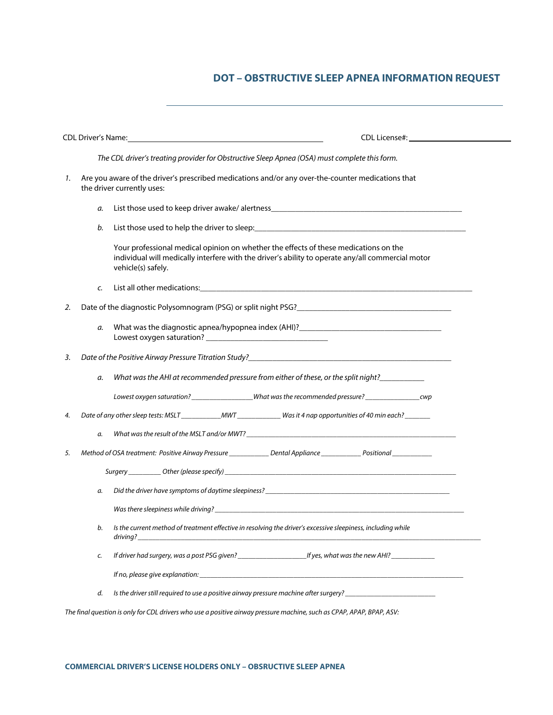## **DOT – OBSTRUCTIVE SLEEP APNEA INFORMATION REQUEST**

| CDL Driver's Name: Name and the state of the state of the state of the state of the state of the state of the state of the state of the state of the state of the state of the state of the state of the state of the state of |                                                                                                                                 |                                                                                                                                                                                                                                    |  |
|--------------------------------------------------------------------------------------------------------------------------------------------------------------------------------------------------------------------------------|---------------------------------------------------------------------------------------------------------------------------------|------------------------------------------------------------------------------------------------------------------------------------------------------------------------------------------------------------------------------------|--|
| The CDL driver's treating provider for Obstructive Sleep Apnea (OSA) must complete this form.                                                                                                                                  |                                                                                                                                 |                                                                                                                                                                                                                                    |  |
| 1.                                                                                                                                                                                                                             | Are you aware of the driver's prescribed medications and/or any over-the-counter medications that<br>the driver currently uses: |                                                                                                                                                                                                                                    |  |
|                                                                                                                                                                                                                                | а.                                                                                                                              |                                                                                                                                                                                                                                    |  |
|                                                                                                                                                                                                                                | b.                                                                                                                              |                                                                                                                                                                                                                                    |  |
|                                                                                                                                                                                                                                |                                                                                                                                 | Your professional medical opinion on whether the effects of these medications on the<br>individual will medically interfere with the driver's ability to operate any/all commercial motor<br>vehicle(s) safely.                    |  |
|                                                                                                                                                                                                                                | c.                                                                                                                              |                                                                                                                                                                                                                                    |  |
| 2.                                                                                                                                                                                                                             | Date of the diagnostic Polysomnogram (PSG) or split night PSG?                                                                  |                                                                                                                                                                                                                                    |  |
|                                                                                                                                                                                                                                | а.                                                                                                                              | What was the diagnostic apnea/hypopnea index (AHI)?______________________________                                                                                                                                                  |  |
| 3.                                                                                                                                                                                                                             |                                                                                                                                 | Date of the Positive Airway Pressure Titration Study?<br><u>Date of the Positive Airway Pressure Titration Study?</u>                                                                                                              |  |
|                                                                                                                                                                                                                                | а.                                                                                                                              |                                                                                                                                                                                                                                    |  |
|                                                                                                                                                                                                                                |                                                                                                                                 | Lowest oxygen saturation? _____________________What was the recommended pressure? ___________________________                                                                                                                      |  |
| 4.                                                                                                                                                                                                                             |                                                                                                                                 |                                                                                                                                                                                                                                    |  |
|                                                                                                                                                                                                                                | а.                                                                                                                              |                                                                                                                                                                                                                                    |  |
| 5.                                                                                                                                                                                                                             |                                                                                                                                 | Method of OSA treatment: Positive Airway Pressure __________________ Dental Appliance ______________ Positional ____________                                                                                                       |  |
|                                                                                                                                                                                                                                |                                                                                                                                 |                                                                                                                                                                                                                                    |  |
|                                                                                                                                                                                                                                | а.                                                                                                                              |                                                                                                                                                                                                                                    |  |
|                                                                                                                                                                                                                                |                                                                                                                                 |                                                                                                                                                                                                                                    |  |
|                                                                                                                                                                                                                                | b.                                                                                                                              | Is the current method of treatment effective in resolving the driver's excessive sleepiness, including while                                                                                                                       |  |
|                                                                                                                                                                                                                                | c.                                                                                                                              |                                                                                                                                                                                                                                    |  |
|                                                                                                                                                                                                                                |                                                                                                                                 | If no, please give explanation: <i>Sharehoffs</i> and the state of the state of the state of the state of the state of the state of the state of the state of the state of the state of the state of the state of the state of the |  |
|                                                                                                                                                                                                                                | d.                                                                                                                              | Is the driver still required to use a positive airway pressure machine after surgery?                                                                                                                                              |  |
| The final question is only for CDL drivers who use a positive airway pressure machine, such as CPAP, APAP, BPAP, ASV:                                                                                                          |                                                                                                                                 |                                                                                                                                                                                                                                    |  |